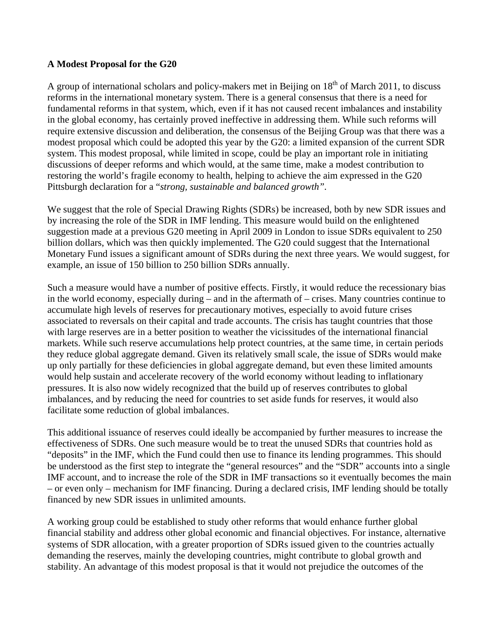## **A Modest Proposal for the G20**

A group of international scholars and policy-makers met in Beijing on  $18<sup>th</sup>$  of March 2011, to discuss reforms in the international monetary system. There is a general consensus that there is a need for fundamental reforms in that system, which, even if it has not caused recent imbalances and instability in the global economy, has certainly proved ineffective in addressing them. While such reforms will require extensive discussion and deliberation, the consensus of the Beijing Group was that there was a modest proposal which could be adopted this year by the G20: a limited expansion of the current SDR system. This modest proposal, while limited in scope, could be play an important role in initiating discussions of deeper reforms and which would, at the same time, make a modest contribution to restoring the world's fragile economy to health, helping to achieve the aim expressed in the G20 Pittsburgh declaration for a "*strong, sustainable and balanced growth".*

We suggest that the role of Special Drawing Rights (SDRs) be increased, both by new SDR issues and by increasing the role of the SDR in IMF lending. This measure would build on the enlightened suggestion made at a previous G20 meeting in April 2009 in London to issue SDRs equivalent to 250 billion dollars, which was then quickly implemented. The G20 could suggest that the International Monetary Fund issues a significant amount of SDRs during the next three years. We would suggest, for example, an issue of 150 billion to 250 billion SDRs annually.

Such a measure would have a number of positive effects. Firstly, it would reduce the recessionary bias in the world economy, especially during – and in the aftermath of – crises. Many countries continue to accumulate high levels of reserves for precautionary motives, especially to avoid future crises associated to reversals on their capital and trade accounts. The crisis has taught countries that those with large reserves are in a better position to weather the vicissitudes of the international financial markets. While such reserve accumulations help protect countries, at the same time, in certain periods they reduce global aggregate demand. Given its relatively small scale, the issue of SDRs would make up only partially for these deficiencies in global aggregate demand, but even these limited amounts would help sustain and accelerate recovery of the world economy without leading to inflationary pressures. It is also now widely recognized that the build up of reserves contributes to global imbalances, and by reducing the need for countries to set aside funds for reserves, it would also facilitate some reduction of global imbalances.

This additional issuance of reserves could ideally be accompanied by further measures to increase the effectiveness of SDRs. One such measure would be to treat the unused SDRs that countries hold as "deposits" in the IMF, which the Fund could then use to finance its lending programmes. This should be understood as the first step to integrate the "general resources" and the "SDR" accounts into a single IMF account, and to increase the role of the SDR in IMF transactions so it eventually becomes the main – or even only – mechanism for IMF financing. During a declared crisis, IMF lending should be totally financed by new SDR issues in unlimited amounts.

A working group could be established to study other reforms that would enhance further global financial stability and address other global economic and financial objectives. For instance, alternative systems of SDR allocation, with a greater proportion of SDRs issued given to the countries actually demanding the reserves, mainly the developing countries, might contribute to global growth and stability. An advantage of this modest proposal is that it would not prejudice the outcomes of the